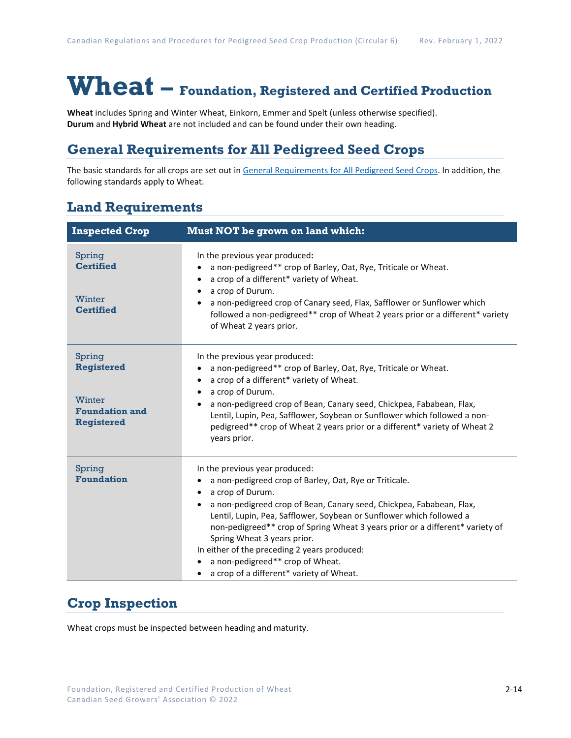# **Wheat – Foundation, Registered and Certified Production**

**Wheat** includes Spring and Winter Wheat, Einkorn, Emmer and Spelt (unless otherwise specified). **Durum** and **Hybrid Wheat** are not included and can be found under their own heading.

### **General Requirements for All Pedigreed Seed Crops**

The basic standards for all crops are set out i[n General Requirements for All Pedigreed Seed](https://seedgrowers.ca/wp-content/uploads/2020/01/GENERAL-REQUIREMENTS-ALL-CROPS_EN.pdf) Crops. In addition, the following standards apply to Wheat.

#### **Land Requirements**

| <b>Inspected Crop</b>                                                               | Must NOT be grown on land which:                                                                                                                                                                                                                                                                                                                                                                                                                                                                                                       |  |  |
|-------------------------------------------------------------------------------------|----------------------------------------------------------------------------------------------------------------------------------------------------------------------------------------------------------------------------------------------------------------------------------------------------------------------------------------------------------------------------------------------------------------------------------------------------------------------------------------------------------------------------------------|--|--|
| Spring<br><b>Certified</b><br>Winter<br><b>Certified</b>                            | In the previous year produced:<br>a non-pedigreed** crop of Barley, Oat, Rye, Triticale or Wheat.<br>a crop of a different* variety of Wheat.<br>a crop of Durum.<br>a non-pedigreed crop of Canary seed, Flax, Safflower or Sunflower which<br>followed a non-pedigreed** crop of Wheat 2 years prior or a different* variety<br>of Wheat 2 years prior.                                                                                                                                                                              |  |  |
| Spring<br><b>Registered</b><br>Winter<br><b>Foundation and</b><br><b>Registered</b> | In the previous year produced:<br>a non-pedigreed** crop of Barley, Oat, Rye, Triticale or Wheat.<br>a crop of a different* variety of Wheat.<br>a crop of Durum.<br>a non-pedigreed crop of Bean, Canary seed, Chickpea, Fababean, Flax,<br>Lentil, Lupin, Pea, Safflower, Soybean or Sunflower which followed a non-<br>pedigreed** crop of Wheat 2 years prior or a different* variety of Wheat 2<br>years prior.                                                                                                                   |  |  |
| Spring<br><b>Foundation</b>                                                         | In the previous year produced:<br>a non-pedigreed crop of Barley, Oat, Rye or Triticale.<br>a crop of Durum.<br>$\bullet$<br>a non-pedigreed crop of Bean, Canary seed, Chickpea, Fababean, Flax,<br>$\bullet$<br>Lentil, Lupin, Pea, Safflower, Soybean or Sunflower which followed a<br>non-pedigreed** crop of Spring Wheat 3 years prior or a different* variety of<br>Spring Wheat 3 years prior.<br>In either of the preceding 2 years produced:<br>a non-pedigreed** crop of Wheat.<br>a crop of a different* variety of Wheat. |  |  |

## **Crop Inspection**

Wheat crops must be inspected between heading and maturity.